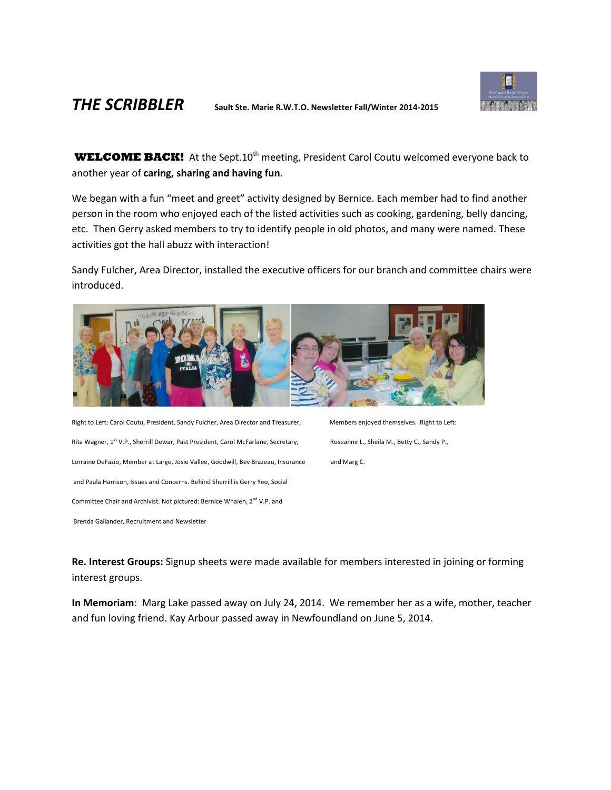

*THE SCRIBBLER* **Sault Ste. Marie R.W.T.O. Newsletter Fall/Winter 2014-2015**

**WELCOME BACK!** At the Sept.10<sup>th</sup> meeting, President Carol Coutu welcomed everyone back to another year of **caring, sharing and having fun**.

We began with a fun "meet and greet" activity designed by Bernice. Each member had to find another person in the room who enjoyed each of the listed activities such as cooking, gardening, belly dancing, etc. Then Gerry asked members to try to identify people in old photos, and many were named. These activities got the hall abuzz with interaction!

Sandy Fulcher, Area Director, installed the executive officers for our branch and committee chairs were introduced.



| Right to Left: Carol Coutu, President, Sandy Fulcher, Area Director and Treasurer,             | Members enjoyed themselves. Right to Left:  |
|------------------------------------------------------------------------------------------------|---------------------------------------------|
| Rita Wagner, 1 <sup>st</sup> V.P., Sherrill Dewar, Past President, Carol McFarlane, Secretary, | Roseanne L., Sheila M., Betty C., Sandy P., |
| Lorraine DeFazio, Member at Large, Josie Vallee, Goodwill, Bev Brazeau, Insurance              | and Marg C.                                 |
| and Paula Harrison, Issues and Concerns. Behind Sherrill is Gerry Yeo, Social                  |                                             |
| Committee Chair and Archivist. Not pictured: Bernice Whalen, 2 <sup>nd</sup> V.P. and          |                                             |
| Brenda Gallander, Recruitment and Newsletter                                                   |                                             |

**Re. Interest Groups:** Signup sheets were made available for members interested in joining or forming interest groups.

**In Memoriam**: Marg Lake passed away on July 24, 2014. We remember her as a wife, mother, teacher and fun loving friend. Kay Arbour passed away in Newfoundland on June 5, 2014.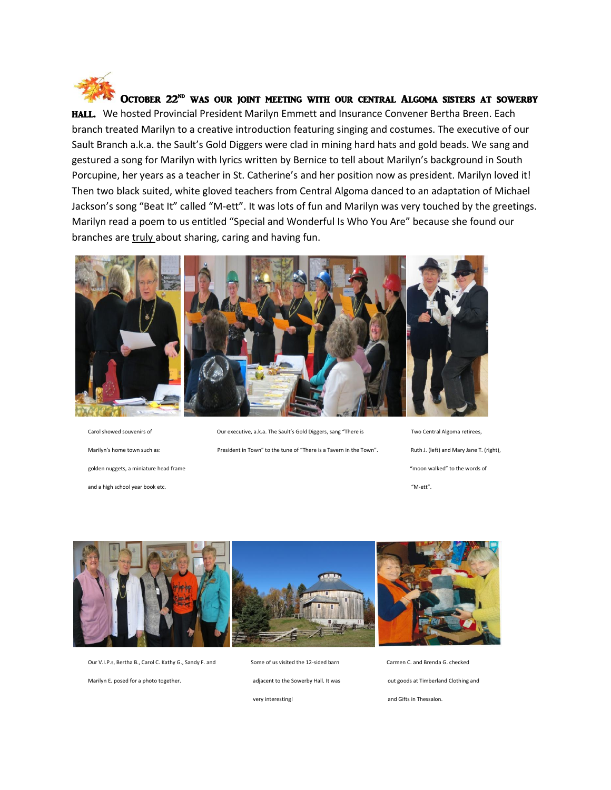

## OCTOBER22<sup>ND</sup> WAS OUR JOINT MEETING WITH OUR CENTRAL ALGOMA SISTERS AT SOWERBY

HALL. We hosted Provincial President Marilyn Emmett and Insurance Convener Bertha Breen. Each branch treated Marilyn to a creative introduction featuring singing and costumes. The executive of our Sault Branch a.k.a. the Sault's Gold Diggers were clad in mining hard hats and gold beads. We sang and gestured a song for Marilyn with lyrics written by Bernice to tell about Marilyn's background in South Porcupine, her years as a teacher in St. Catherine's and her position now as president. Marilyn loved it! Then two black suited, white gloved teachers from Central Algoma danced to an adaptation of Michael Jackson's song "Beat It" called "M-ett". It was lots of fun and Marilyn was very touched by the greetings. Marilyn read a poem to us entitled "Special and Wonderful Is Who You Are" because she found our branches are truly about sharing, caring and having fun.



golden nuggets, a miniature head frame  $\blacksquare$ "moon walked" to the words of and a high school year book etc. "M-ett".

Carol showed souvenirs of **Our executive, a.k.a. The Sault's Gold Diggers**, sang "There is Two Central Algoma retirees, Marilyn's home town such as: President in Town" to the tune of "There is a Tavern in the Town". Ruth J. (left) and Mary Jane T. (right),



Our V.I.P.s. Bertha B., Carol C. Kathy G., Sandy F. and Some of us visited the 12-sided barn Carmen C. and Brenda G. checked

Marilyn E. posed for a photo together. <br>adjacent to the Sowerby Hall. It was out goods at Timberland Clothing and

very interesting! The same control of the same control of the same control of the same control of the same control of the same control of the same control of the same control of the same control of the same control of the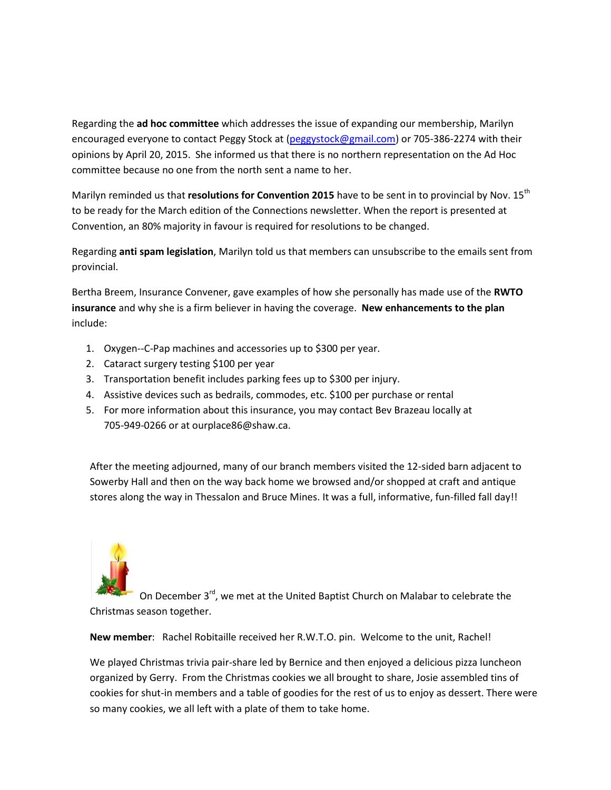Regarding the **ad hoc committee** which addresses the issue of expanding our membership, Marilyn encouraged everyone to contact Peggy Stock at [\(peggystock@gmail.com\)](mailto:peggystock@gmail.com) or 705-386-2274 with their opinions by April 20, 2015. She informed us that there is no northern representation on the Ad Hoc committee because no one from the north sent a name to her.

Marilyn reminded us that **resolutions for Convention 2015** have to be sent in to provincial by Nov. 15<sup>th</sup> to be ready for the March edition of the Connections newsletter. When the report is presented at Convention, an 80% majority in favour is required for resolutions to be changed.

Regarding **anti spam legislation**, Marilyn told us that members can unsubscribe to the emails sent from provincial.

Bertha Breem, Insurance Convener, gave examples of how she personally has made use of the **RWTO insurance** and why she is a firm believer in having the coverage. **New enhancements to the plan** include:

- 1. Oxygen--C-Pap machines and accessories up to \$300 per year.
- 2. Cataract surgery testing \$100 per year
- 3. Transportation benefit includes parking fees up to \$300 per injury.
- 4. Assistive devices such as bedrails, commodes, etc. \$100 per purchase or rental
- 5. For more information about this insurance, you may contact Bev Brazeau locally at 705-949-0266 or at ourplace86@shaw.ca.

After the meeting adjourned, many of our branch members visited the 12-sided barn adjacent to Sowerby Hall and then on the way back home we browsed and/or shopped at craft and antique stores along the way in Thessalon and Bruce Mines. It was a full, informative, fun-filled fall day!!



[O](http://2.bp.blogspot.com/-bDDJsa8tZvs/UNYcRcKJgYI/AAAAAAAAGWA/t1jbxHsuRgo/s1600/Christmas+Candle.jpg)n December 3<sup>rd</sup>, we met at the United Baptist Church on Malabar to celebrate the Christmas season together.

**New member**: Rachel Robitaille received her R.W.T.O. pin. Welcome to the unit, Rachel!

We played Christmas trivia pair-share led by Bernice and then enjoyed a delicious pizza luncheon organized by Gerry. From the Christmas cookies we all brought to share, Josie assembled tins of cookies for shut-in members and a table of goodies for the rest of us to enjoy as dessert. There were so many cookies, we all left with a plate of them to take home.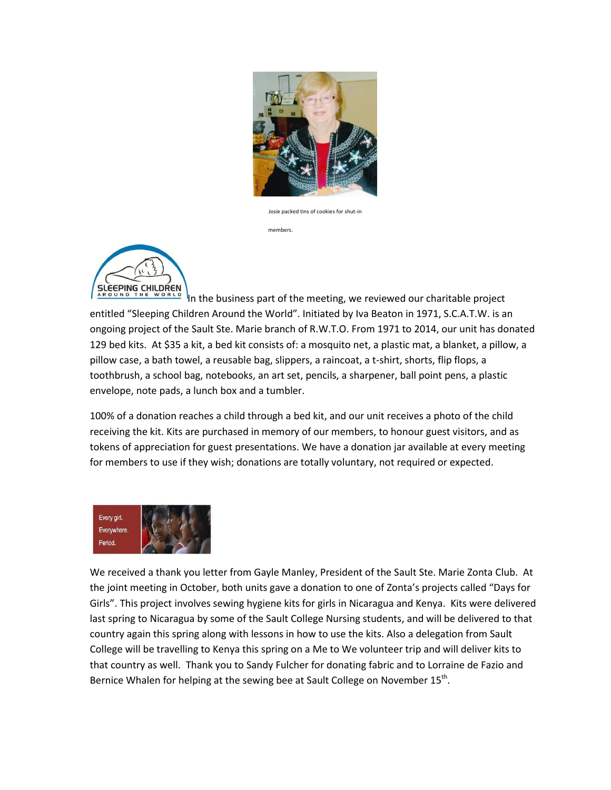

Josie packed tins of cookies for shut-in





In the business part of the meeting, we reviewed our charitable project entitled "Sleeping Children Around the World". Initiated by Iva Beaton in 1971, S.C.A.T.W. is an ongoing project of the Sault Ste. Marie branch of R.W.T.O. From 1971 to 2014, our unit has donated 129 bed kits. At \$35 a kit, a bed kit consists of: a mosquito net, a plastic mat, a blanket, a pillow, a pillow case, a bath towel, a reusable bag, slippers, a raincoat, a t-shirt, shorts, flip flops, a toothbrush, a school bag, notebooks, an art set, pencils, a sharpener, ball point pens, a plastic envelope, note pads, a lunch box and a tumbler.

100% of a donation reaches a child through a bed kit, and our unit receives a photo of the child receiving the kit. Kits are purchased in memory of our members, to honour guest visitors, and as tokens of appreciation for guest presentations. We have a donation jar available at every meeting for members to use if they wish; donations are totally voluntary, not required or expected.



We received a thank you letter from Gayle Manley, President of the Sault Ste. Marie Zonta Club. At the joint meeting in October, both units gave a donation to one of Zonta's projects called "Days for Girls". This project involves sewing hygiene kits for girls in Nicaragua and Kenya. Kits were delivered last spring to Nicaragua by some of the Sault College Nursing students, and will be delivered to that country again this spring along with lessons in how to use the kits. Also a delegation from Sault College will be travelling to Kenya this spring on a Me to We volunteer trip and will deliver kits to that country as well. Thank you to Sandy Fulcher for donating fabric and to Lorraine de Fazio and Bernice Whalen for helping at the sewing bee at Sault College on November  $15^{th}$ .